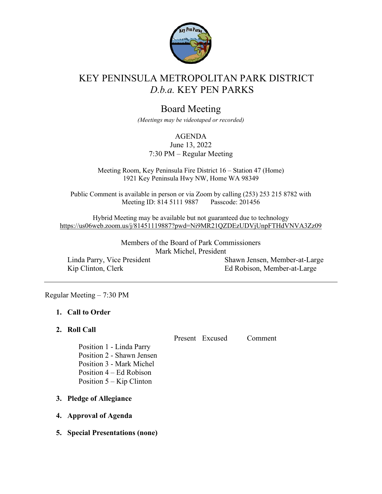

# KEY PENINSULA METROPOLITAN PARK DISTRICT *D.b.a.* KEY PEN PARKS

## Board Meeting

*(Meetings may be videotaped or recorded)*

#### AGENDA

June 13, 2022 7:30 PM – Regular Meeting

Meeting Room, Key Peninsula Fire District 16 – Station 47 (Home) 1921 Key Peninsula Hwy NW, Home WA 98349

Public Comment is available in person or via Zoom by calling (253) 253 215 8782 with Meeting ID: 814 5111 9887 Passcode: 201456

Hybrid Meeting may be available but not guaranteed due to technology <https://us06web.zoom.us/j/81451119887?pwd=Ni9MR21QZDEzUDVjUnpFTHdVNVA3Zz09>

> Members of the Board of Park Commissioners Mark Michel, President

Linda Parry, Vice President Kip Clinton, Clerk

Shawn Jensen, Member-at-Large Ed Robison, Member-at-Large

#### Regular Meeting – 7:30 PM

## **1. Call to Order**

## **2. Roll Call**

Present Excused Comment

Position 1 - Linda Parry Position 2 - Shawn Jensen Position 3 - Mark Michel

Position 4 – Ed Robison

Position 5 – Kip Clinton

**3. Pledge of Allegiance**

## **4. Approval of Agenda**

**5. Special Presentations (none)**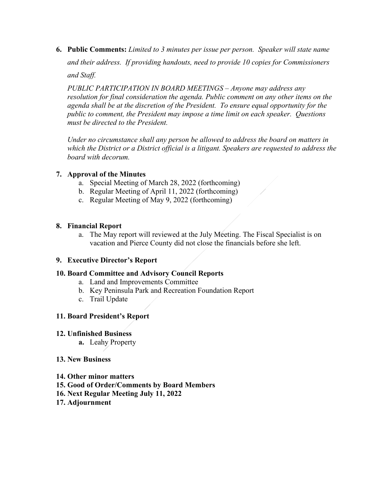**6. Public Comments:** *Limited to 3 minutes per issue per person. Speaker will state name*

*and their address. If providing handouts, need to provide 10 copies for Commissioners*

*and Staff.*

*PUBLIC PARTICIPATION IN BOARD MEETINGS – Anyone may address any resolution for final consideration the agenda. Public comment on any other items on the agenda shall be at the discretion of the President. To ensure equal opportunity for the public to comment, the President may impose a time limit on each speaker. Questions must be directed to the President.*

*Under no circumstance shall any person be allowed to address the board on matters in which the District or a District official is a litigant. Speakers are requested to address the board with decorum.*

## **7. Approval of the Minutes**

- a. Special Meeting of March 28, 2022 (forthcoming)
- b. Regular Meeting of April 11, 2022 (forthcoming)
- c. Regular Meeting of May 9, 2022 (forthcoming)

## **8. Financial Report**

a. The May report will reviewed at the July Meeting. The Fiscal Specialist is on vacation and Pierce County did not close the financials before she left.

## **9. Executive Director's Report**

## **10. Board Committee and Advisory Council Reports**

- a. Land and Improvements Committee
- b. Key Peninsula Park and Recreation Foundation Report
- c. Trail Update

## **11. Board President's Report**

## **12. Unfinished Business**

**a.** Leahy Property

## **13. New Business**

- **14. Other minor matters**
- **15. Good of Order/Comments by Board Members**
- **16. Next Regular Meeting July 11, 2022**
- **17. Adjournment**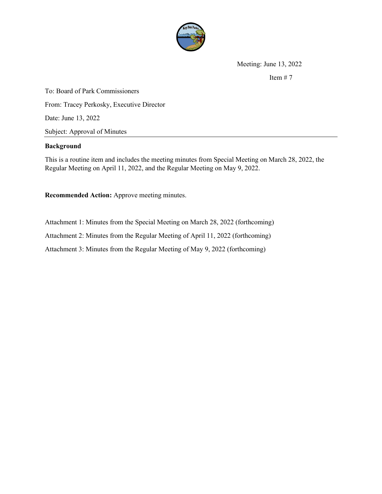

Meeting: June 13, 2022

Item  $# 7$ 

To: Board of Park Commissioners From: Tracey Perkosky, Executive Director Date: June 13, 2022 Subject: Approval of Minutes

#### **Background**

This is a routine item and includes the meeting minutes from Special Meeting on March 28, 2022, the Regular Meeting on April 11, 2022, and the Regular Meeting on May 9, 2022.

**Recommended Action:** Approve meeting minutes.

Attachment 1: Minutes from the Special Meeting on March 28, 2022 (forthcoming) Attachment 2: Minutes from the Regular Meeting of April 11, 2022 (forthcoming) Attachment 3: Minutes from the Regular Meeting of May 9, 2022 (forthcoming)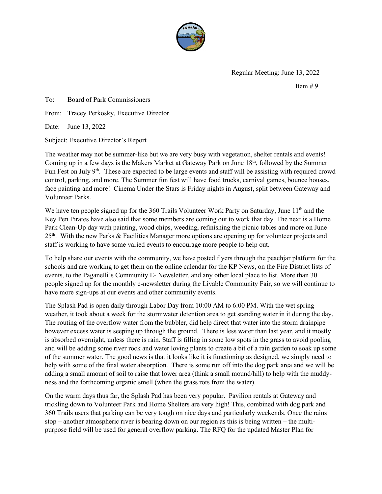

Regular Meeting: June 13, 2022

Item  $# 9$ 

To: Board of Park Commissioners

From: Tracey Perkosky, Executive Director

Date: June 13, 2022

Subject: Executive Director's Report

The weather may not be summer-like but we are very busy with vegetation, shelter rentals and events! Coming up in a few days is the Makers Market at Gateway Park on June 18<sup>th</sup>, followed by the Summer Fun Fest on July 9<sup>th</sup>. These are expected to be large events and staff will be assisting with required crowd control, parking, and more. The Summer fun fest will have food trucks, carnival games, bounce houses, face painting and more! Cinema Under the Stars is Friday nights in August, split between Gateway and Volunteer Parks.

We have ten people signed up for the 360 Trails Volunteer Work Party on Saturday, June 11<sup>th</sup> and the Key Pen Pirates have also said that some members are coming out to work that day. The next is a Home Park Clean-Up day with painting, wood chips, weeding, refinishing the picnic tables and more on June 25th. With the new Parks & Facilities Manager more options are opening up for volunteer projects and staff is working to have some varied events to encourage more people to help out.

To help share our events with the community, we have posted flyers through the peachjar platform for the schools and are working to get them on the online calendar for the KP News, on the Fire District lists of events, to the Paganelli's Community E- Newsletter, and any other local place to list. More than 30 people signed up for the monthly e-newsletter during the Livable Community Fair, so we will continue to have more sign-ups at our events and other community events.

The Splash Pad is open daily through Labor Day from 10:00 AM to 6:00 PM. With the wet spring weather, it took about a week for the stormwater detention area to get standing water in it during the day. The routing of the overflow water from the bubbler, did help direct that water into the storm drainpipe however excess water is seeping up through the ground. There is less water than last year, and it mostly is absorbed overnight, unless there is rain. Staff is filling in some low spots in the grass to avoid pooling and will be adding some river rock and water loving plants to create a bit of a rain garden to soak up some of the summer water. The good news is that it looks like it is functioning as designed, we simply need to help with some of the final water absorption. There is some run off into the dog park area and we will be adding a small amount of soil to raise that lower area (think a small mound/hill) to help with the muddyness and the forthcoming organic smell (when the grass rots from the water).

On the warm days thus far, the Splash Pad has been very popular. Pavilion rentals at Gateway and trickling down to Volunteer Park and Home Shelters are very high! This, combined with dog park and 360 Trails users that parking can be very tough on nice days and particularly weekends. Once the rains stop – another atmospheric river is bearing down on our region as this is being written – the multipurpose field will be used for general overflow parking. The RFQ for the updated Master Plan for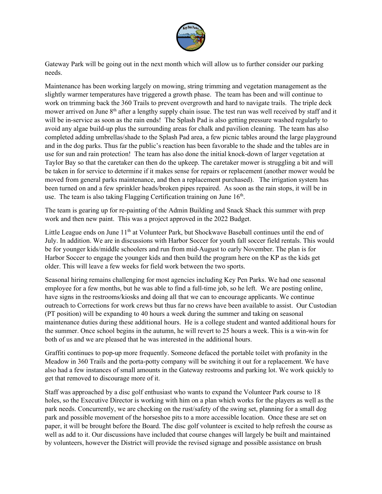

Gateway Park will be going out in the next month which will allow us to further consider our parking needs.

Maintenance has been working largely on mowing, string trimming and vegetation management as the slightly warmer temperatures have triggered a growth phase. The team has been and will continue to work on trimming back the 360 Trails to prevent overgrowth and hard to navigate trails. The triple deck mower arrived on June  $8<sup>th</sup>$  after a lengthy supply chain issue. The test run was well received by staff and it will be in-service as soon as the rain ends! The Splash Pad is also getting pressure washed regularly to avoid any algae build-up plus the surrounding areas for chalk and pavilion cleaning. The team has also completed adding umbrellas/shade to the Splash Pad area, a few picnic tables around the large playground and in the dog parks. Thus far the public's reaction has been favorable to the shade and the tables are in use for sun and rain protection! The team has also done the initial knock-down of larger vegetation at Taylor Bay so that the caretaker can then do the upkeep. The caretaker mower is struggling a bit and will be taken in for service to determine if it makes sense for repairs or replacement (another mower would be moved from general parks maintenance, and then a replacement purchased). The irrigation system has been turned on and a few sprinkler heads/broken pipes repaired. As soon as the rain stops, it will be in use. The team is also taking Flagging Certification training on June  $16<sup>th</sup>$ .

The team is gearing up for re-painting of the Admin Building and Snack Shack this summer with prep work and then new paint. This was a project approved in the 2022 Budget.

Little League ends on June  $11<sup>th</sup>$  at Volunteer Park, but Shockwave Baseball continues until the end of July. In addition. We are in discussions with Harbor Soccer for youth fall soccer field rentals. This would be for younger kids/middle schoolers and run from mid-August to early November. The plan is for Harbor Soccer to engage the younger kids and then build the program here on the KP as the kids get older. This will leave a few weeks for field work between the two sports.

Seasonal hiring remains challenging for most agencies including Key Pen Parks. We had one seasonal employee for a few months, but he was able to find a full-time job, so he left. We are posting online, have signs in the restrooms/kiosks and doing all that we can to encourage applicants. We continue outreach to Corrections for work crews but thus far no crews have been available to assist. Our Custodian (PT position) will be expanding to 40 hours a week during the summer and taking on seasonal maintenance duties during these additional hours. He is a college student and wanted additional hours for the summer. Once school begins in the autumn, he will revert to 25 hours a week. This is a win-win for both of us and we are pleased that he was interested in the additional hours.

Graffiti continues to pop-up more frequently. Someone defaced the portable toilet with profanity in the Meadow in 360 Trails and the porta-potty company will be switching it out for a replacement. We have also had a few instances of small amounts in the Gateway restrooms and parking lot. We work quickly to get that removed to discourage more of it.

Staff was approached by a disc golf enthusiast who wants to expand the Volunteer Park course to 18 holes, so the Executive Director is working with him on a plan which works for the players as well as the park needs. Concurrently, we are checking on the rust/safety of the swing set, planning for a small dog park and possible movement of the horseshoe pits to a more accessible location. Once these are set on paper, it will be brought before the Board. The disc golf volunteer is excited to help refresh the course as well as add to it. Our discussions have included that course changes will largely be built and maintained by volunteers, however the District will provide the revised signage and possible assistance on brush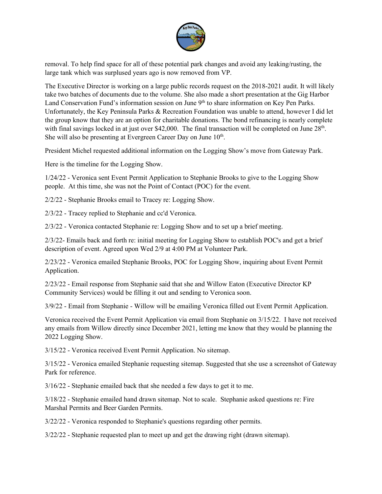

removal. To help find space for all of these potential park changes and avoid any leaking/rusting, the large tank which was surplused years ago is now removed from VP.

The Executive Director is working on a large public records request on the 2018-2021 audit. It will likely take two batches of documents due to the volume. She also made a short presentation at the Gig Harbor Land Conservation Fund's information session on June 9<sup>th</sup> to share information on Key Pen Parks. Unfortunately, the Key Peninsula Parks & Recreation Foundation was unable to attend, however I did let the group know that they are an option for charitable donations. The bond refinancing is nearly complete with final savings locked in at just over \$42,000. The final transaction will be completed on June  $28<sup>th</sup>$ . She will also be presenting at Evergreen Career Day on June 10<sup>th</sup>.

President Michel requested additional information on the Logging Show's move from Gateway Park.

Here is the timeline for the Logging Show.

1/24/22 - Veronica sent Event Permit Application to Stephanie Brooks to give to the Logging Show people. At this time, she was not the Point of Contact (POC) for the event.

2/2/22 - Stephanie Brooks email to Tracey re: Logging Show.

2/3/22 - Tracey replied to Stephanie and cc'd Veronica.

2/3/22 - Veronica contacted Stephanie re: Logging Show and to set up a brief meeting.

2/3/22- Emails back and forth re: initial meeting for Logging Show to establish POC's and get a brief description of event. Agreed upon Wed 2/9 at 4:00 PM at Volunteer Park.

2/23/22 - Veronica emailed Stephanie Brooks, POC for Logging Show, inquiring about Event Permit Application.

2/23/22 - Email response from Stephanie said that she and Willow Eaton (Executive Director KP Community Services) would be filling it out and sending to Veronica soon.

3/9/22 - Email from Stephanie - Willow will be emailing Veronica filled out Event Permit Application.

Veronica received the Event Permit Application via email from Stephanie on 3/15/22. I have not received any emails from Willow directly since December 2021, letting me know that they would be planning the 2022 Logging Show.

3/15/22 - Veronica received Event Permit Application. No sitemap.

3/15/22 - Veronica emailed Stephanie requesting sitemap. Suggested that she use a screenshot of Gateway Park for reference.

3/16/22 - Stephanie emailed back that she needed a few days to get it to me.

3/18/22 - Stephanie emailed hand drawn sitemap. Not to scale. Stephanie asked questions re: Fire Marshal Permits and Beer Garden Permits.

3/22/22 - Veronica responded to Stephanie's questions regarding other permits.

3/22/22 - Stephanie requested plan to meet up and get the drawing right (drawn sitemap).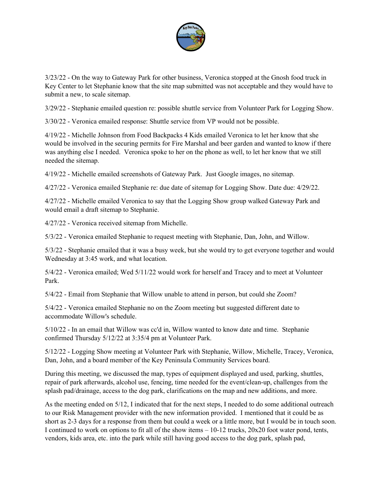

3/23/22 - On the way to Gateway Park for other business, Veronica stopped at the Gnosh food truck in Key Center to let Stephanie know that the site map submitted was not acceptable and they would have to submit a new, to scale sitemap.

3/29/22 - Stephanie emailed question re: possible shuttle service from Volunteer Park for Logging Show.

3/30/22 - Veronica emailed response: Shuttle service from VP would not be possible.

4/19/22 - Michelle Johnson from Food Backpacks 4 Kids emailed Veronica to let her know that she would be involved in the securing permits for Fire Marshal and beer garden and wanted to know if there was anything else I needed. Veronica spoke to her on the phone as well, to let her know that we still needed the sitemap.

4/19/22 - Michelle emailed screenshots of Gateway Park. Just Google images, no sitemap.

4/27/22 - Veronica emailed Stephanie re: due date of sitemap for Logging Show. Date due: 4/29/22.

4/27/22 - Michelle emailed Veronica to say that the Logging Show group walked Gateway Park and would email a draft sitemap to Stephanie.

4/27/22 - Veronica received sitemap from Michelle.

5/3/22 - Veronica emailed Stephanie to request meeting with Stephanie, Dan, John, and Willow.

5/3/22 - Stephanie emailed that it was a busy week, but she would try to get everyone together and would Wednesday at 3:45 work, and what location.

5/4/22 - Veronica emailed; Wed 5/11/22 would work for herself and Tracey and to meet at Volunteer Park.

5/4/22 - Email from Stephanie that Willow unable to attend in person, but could she Zoom?

5/4/22 - Veronica emailed Stephanie no on the Zoom meeting but suggested different date to accommodate Willow's schedule.

5/10/22 - In an email that Willow was cc'd in, Willow wanted to know date and time. Stephanie confirmed Thursday 5/12/22 at 3:35/4 pm at Volunteer Park.

5/12/22 - Logging Show meeting at Volunteer Park with Stephanie, Willow, Michelle, Tracey, Veronica, Dan, John, and a board member of the Key Peninsula Community Services board.

During this meeting, we discussed the map, types of equipment displayed and used, parking, shuttles, repair of park afterwards, alcohol use, fencing, time needed for the event/clean-up, challenges from the splash pad/drainage, access to the dog park, clarifications on the map and new additions, and more.

As the meeting ended on 5/12, I indicated that for the next steps, I needed to do some additional outreach to our Risk Management provider with the new information provided. I mentioned that it could be as short as 2-3 days for a response from them but could a week or a little more, but I would be in touch soon. I continued to work on options to fit all of the show items – 10-12 trucks, 20x20 foot water pond, tents, vendors, kids area, etc. into the park while still having good access to the dog park, splash pad,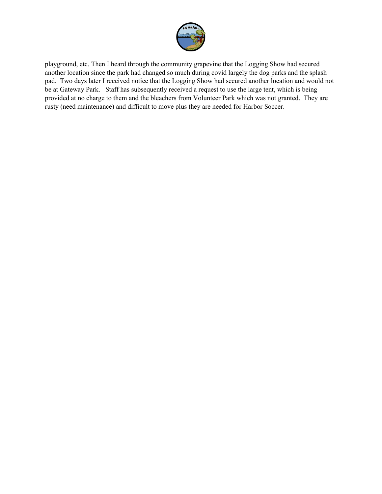

playground, etc. Then I heard through the community grapevine that the Logging Show had secured another location since the park had changed so much during covid largely the dog parks and the splash pad. Two days later I received notice that the Logging Show had secured another location and would not be at Gateway Park. Staff has subsequently received a request to use the large tent, which is being provided at no charge to them and the bleachers from Volunteer Park which was not granted. They are rusty (need maintenance) and difficult to move plus they are needed for Harbor Soccer.